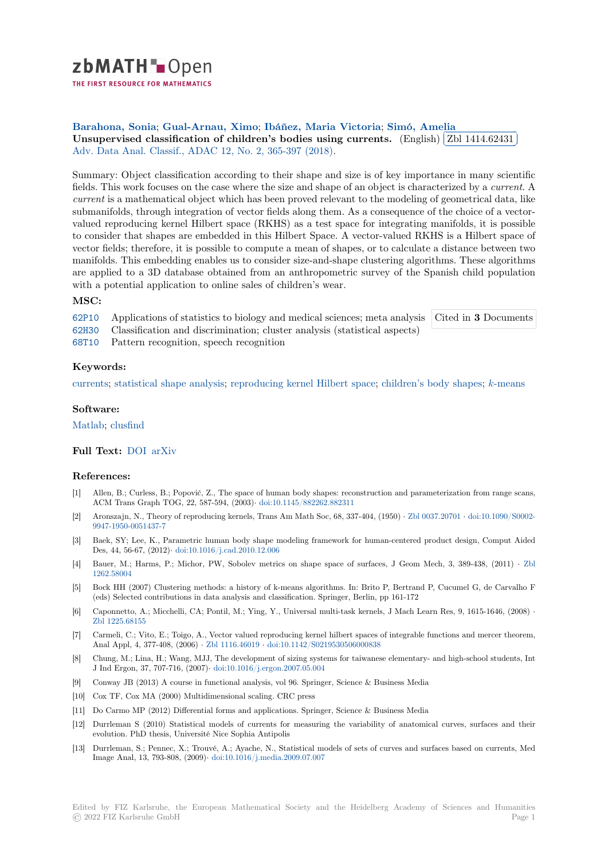

THE FIRST RESOURCE FOR MATHEMATICS

**Barahona, Sonia**; **Gual-Arnau, Ximo**; **Ibáñez, Maria Victoria**; **Simó, Amelia** ✄ [U](https://zbmath.org/)nsupervised classification of children's bodies using currents. (English)  $\boxed{\text{Zbl 1414.62431}}$ Ĭ. Į. Adv. Data Anal. Classif., ADAC 12, No. 2, 365-397 (2018).

[Summary: Object c](https://zbmath.org/authors/?q=ai:barahona.sonia)l[assification according](https://zbmath.org/authors/?q=ai:gual-arnau.ximo)t[o their shape and size is of](https://zbmath.org/authors/?q=ai:ibanez.maria-victoria) [key importance](https://zbmath.org/authors/?q=ai:simo.amelia) in many scientific [fields. This work focuses on the case where the size and shape of an object](https://zbmath.org/1414.62431) is charact[erized by a](https://zbmath.org/1414.62431) *current*. A *current* [is a mathematical object](https://zbmath.org/journals/?q=se:4917) [which has been proved rele](https://zbmath.org/?q=in:411392)vant to the modeling of geometrical data, like submanifolds, through integration of vector fields along them. As a consequence of the choice of a vectorvalued reproducing kernel Hilbert space (RKHS) as a test space for integrating manifolds, it is possible to consider that shapes are embedded in this Hilbert Space. A vector-valued RKHS is a Hilbert space of vector fields; therefore, it is possible to compute a mean of shapes, or to calculate a distance between two manifolds. This embedding enables us to consider size-and-shape clustering algorithms. These algorithms are applied to a 3D database obtained from an anthropometric survey of the Spanish child population with a potential application to online sales of children's wear.

## **MSC:**

62P10 Applications of statistics to biology and medical sciences; meta analysis Cited in **3** Documents

62H30 Classification and discrimination; cluster analysis (statistical aspects)

68T10 Pattern recognition, speech recognition

# **[Keyw](https://zbmath.org/classification/?q=cc:62P10)ords:**

[curren](https://zbmath.org/classification/?q=cc:62H30)ts; statistical shape analysis; reproducing kernel Hilbert space; children's body shapes; *k*-means

### **Software:**

[Matlab;](https://zbmath.org/?q=ut:currents) [clusfind](https://zbmath.org/?q=ut:statistical+shape+analysis)

### **Full Text:** DOI arXiv

#### **[Refere](https://swmath.org/software/558)[nces:](https://swmath.org/software/27805)**

- [1] Allen, B.; Curless, B.; Popović, Z., The space of human body shapes: reconstruction and parameterization from range scans, ACM Tra[ns Gr](https://dx.doi.org/10.1007/s11634-017-0283-0)[aph TOG](https://arxiv.org/abs/1606.01746), 22, 587-594, (2003)*·* doi:10.1145/882262.882311
- [2] Aronszajn, N., Theory of reproducing kernels, Trans Am Math Soc, 68, 337-404, (1950) *·* Zbl 0037.20701 *·* doi:10.1090/S0002- 9947-1950-0051437-7
- [3] Baek, SY; Lee, K., Parametric human body shape modeling framework for human-centered product design, Comput Aided Des, 44, 56-67, (2012)*·* doi:10.1016/j.cad.2010.[12.006](https://dx.doi.org/10.1145/882262.882311)
- [4] Bauer, M.; Harms, P.; Michor, PW, Sobolev metrics on shape space of surfaces, J G[eom Mech, 3, 3](https://zbmath.org/0037.20701)8[9-438, \(2011\)](https://dx.doi.org/10.1090/S0002-9947-1950-0051437-7) *·* Zbl [1262.58004](https://dx.doi.org/10.1090/S0002-9947-1950-0051437-7)
- [5] Bock HH (2007) Clustering methods: a history of k-means algorithms. In: Brito P, Bertrand P, Cucumel G, de Carvalho F (eds) Selected contribu[tions in data analysis and clas](https://dx.doi.org/10.1016/j.cad.2010.12.006)sification. Springer, Berlin, pp 161-172
- [6] Caponnetto, A.; Micchelli, CA; Pontil, M.; Ying, Y., Universal multi-task kernels, J Mach Learn Res, 9, 1615-1646, (200[8\)](https://zbmath.org/1262.58004) *·* [Zbl 1225.68](https://zbmath.org/1262.58004)155
- [7] Carmeli, C.; Vito, E.; Toigo, A., Vector valued reproducing kernel hilbert spaces of integrable functions and mercer theorem, Anal Appl, 4, 377-408, (2006) *·* Zbl 1116.46019 *·* doi:10.1142/S0219530506000838
- [8] Chung, M.; Lina, H.; Wang, MJJ, The development of sizing systems for taiwanese elementary- and high-school students, Int [J Ind Ergon, 37](https://zbmath.org/1225.68155), 707-716, (2007)*·* doi:10.1016/j.ergon.2007.05.004
- [9] Conway JB (2013) A course in functional analysis, vol 96. Springer, Science & Business Media
- [10] Cox TF, Cox MA (2000) Multi[dimensional scal](https://zbmath.org/1116.46019)i[ng. CRC press](https://dx.doi.org/10.1142/S0219530506000838)
- [11] Do Carmo MP (2012) Differential forms and applications. Springer, Science & Business Media
- [12] Durrleman S (2010) Statistical [models of currents for measurin](https://dx.doi.org/10.1016/j.ergon.2007.05.004)g the variability of anatomical curves, surfaces and their evolution. PhD thesis, Université Nice Sophia Antipolis
- [13] Durrleman, S.; Pennec, X.; Trouvé, A.; Ayache, N., Statistical models of sets of curves and surfaces based on currents, Med Image Anal, 13, 793-808, (2009)*·* doi:10.1016/j.media.2009.07.007